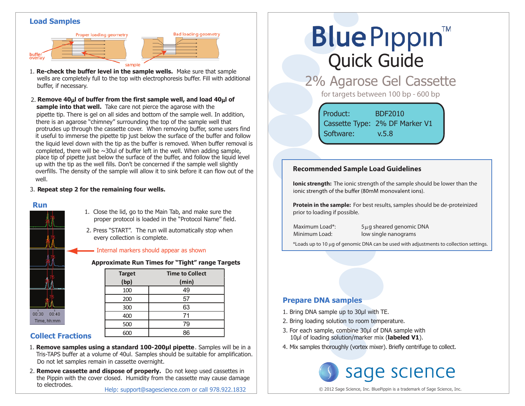### **Load Samples**





**Bad loading geometry** 

**sample into that well.** Take care not pierce the agarose with the pipette tip. There is gel on all sides and bottom of the sample well. In addition, there is an agarose "chimney" surrounding the top of the sample well that protrudes up through the cassette cover. When removing buffer, some users find it useful to immerse the pipette tip just below the surface of the buffer and follow the liquid level down with the tip as the buffer is removed. When buffer removal is completed, there will be  $\sim$ 30ul of buffer left in the well. When adding sample, place tip of pipette just below the surface of the buffer, and follow the liquid level up with the tip as the well fills. Don't be concerned if the sample well slightly overfills. The density of the sample will allow it to sink before it can flow out of the well. 2. **Remove 40**µ**l of buffer from the first sample well, and load 40**µ**l of**

#### 3. **Repeat step 2 for the remaining four wells.**

#### **Run**



- 1. Close the lid, go to the Main Tab, and make sure the proper protocol is loaded in the "Protocol Name" field.
- 2. Press "START". The run will automatically stop when every collection is complete.

#### - Internal markers should appear as shown

**Approximate Run Times for "Tight" range Targets**

| <b>Target</b> | <b>Time to Collect</b> |
|---------------|------------------------|
| (bp)          | (min)                  |
| 100           | 49                     |
| 200           | 57                     |
| 300           | 63                     |
| 400           | 71                     |
| 500           | 79                     |
|               | 86                     |

# **Collect Fractions**

- Tris-TAPS buffer at a volume of 40ul. Samples should be suitable for amplification. 1. **Remove samples using a standard 100-200µl pipette**. Samples will be in a Do not let samples remain in cassette overnight.
- 2. **Remove cassette and dispose of properly.** Do not keep used cassettes in the Pippin with the cover closed. Humidity from the cassette may cause damage to electrodes.

# **Blue Pippin** Quick Guide

2% Agarose Gel Cassette

for targets between 100 bp - 600 bp

Product: BDF2010 Cassette Type: 2% DF Marker V1 Software: v.5.8

## **Recommended Sample Load Guidelines**

**Ionic strength:** The ionic strength of the sample should be lower than the jonic strength of the buffer (80mM monovalent jons).

**Protein in the sample:** For best results, samples should be de-proteinized prior to loading if possible.

Maximum Load\*: 5µg sheared genomic DNA Minimum Load: low single nanograms

\*Loads up to 10 µg of genomic DNA can be used with adjustments to collection settings.

## **Prepare DNA samples**

- 1. Bring DNA sample up to 30μl with TE.
- 2. Bring loading solution to room temperature.
- 3. For each sample, combine 30μl of DNA sample with 10μl of loading solution/marker mix (**labeled V1**).
- 4. Mix samples thoroughly (vortex mixer). Briefly centrifuge to collect.



© 2012 Sage Science, Inc. BluePippin is a trademark of Sage Science, Inc.